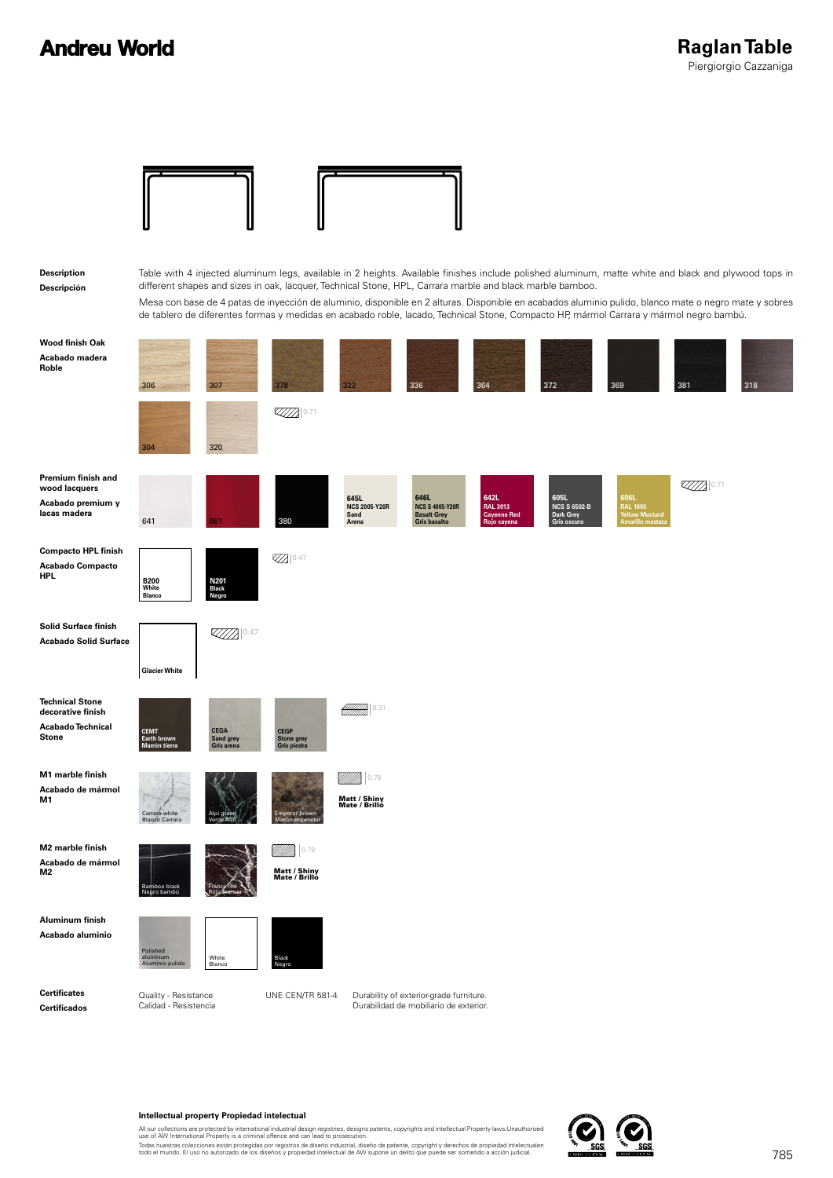### **Andreu World**



#### **Intellectual property Propiedad intelectual**

All our collections are protected by international industrial design registries, designs patents, copyrights and intellectual Property laws.Unauthorized<br>use of AW International Property is a criminal offence and can lead t

Todas nuestras colecciones están protegidas por registros de diseño industrial, diseño de patente, copyright y derechos de propiedad intelectualen<br>todo el mundo. El uso no autorizado de los diseños y propiedad intelectual

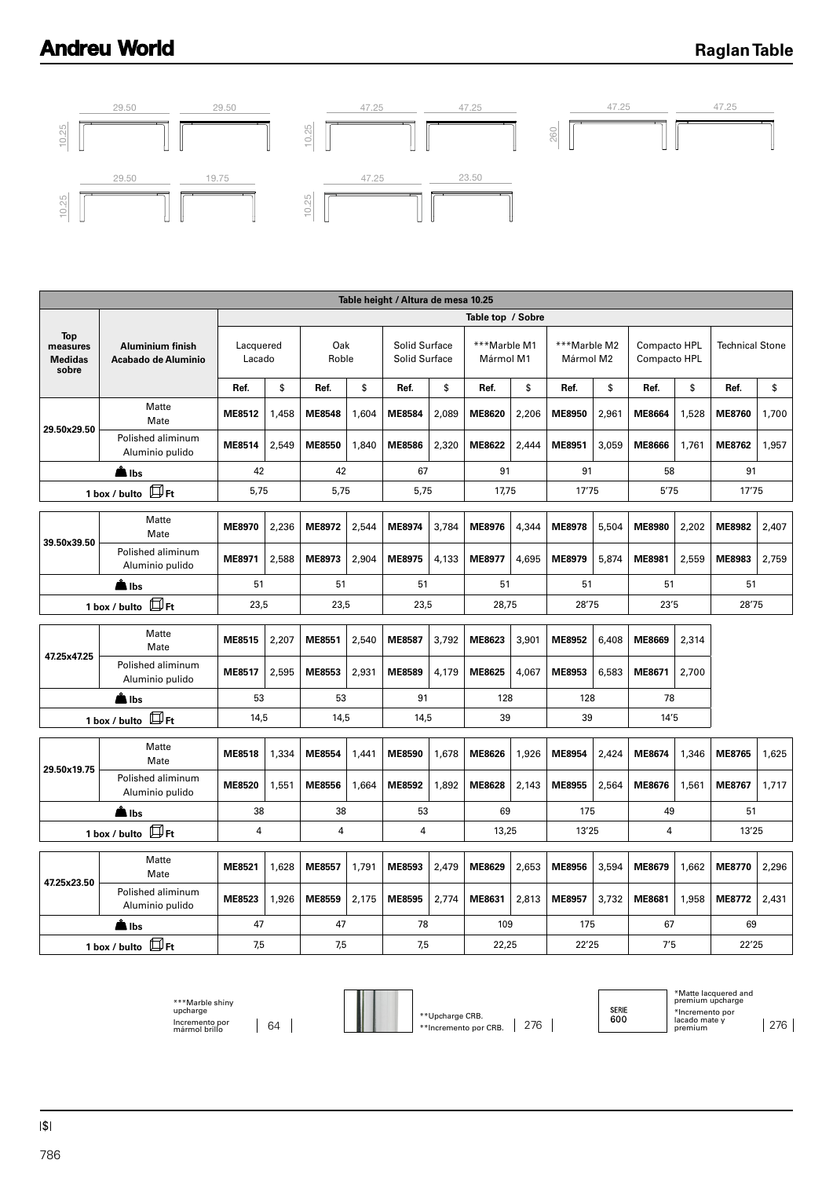# **Andreu World**

### **Raglan Table**



| Table height / Altura de mesa 10.25               |                                                |                     |          |               |          |                                |          |                           |                |                           |       |                              |       |                        |       |
|---------------------------------------------------|------------------------------------------------|---------------------|----------|---------------|----------|--------------------------------|----------|---------------------------|----------------|---------------------------|-------|------------------------------|-------|------------------------|-------|
|                                                   |                                                |                     |          |               |          |                                |          | Table top / Sobre         |                |                           |       |                              |       |                        |       |
| <b>Top</b><br>measures<br><b>Medidas</b><br>sobre | <b>Aluminium finish</b><br>Acabado de Aluminio | Lacquered<br>Lacado |          | Oak<br>Roble  |          | Solid Surface<br>Solid Surface |          | ***Marble M1<br>Mármol M1 |                | ***Marble M2<br>Mármol M2 |       | Compacto HPL<br>Compacto HPL |       | <b>Technical Stone</b> |       |
|                                                   |                                                | Ref.                | \$       | Ref.          | \$       | Ref.                           | \$       | Ref.                      | \$             | Ref.                      | \$    | Ref.                         | \$    | Ref.                   | \$    |
| 29.50x29.50                                       | Matte<br>Mate                                  | ME8512              | 1,458    | <b>ME8548</b> | 1,604    | <b>ME8584</b>                  | 2,089    | ME8620                    | 2,206          | ME8950                    | 2,961 | <b>ME8664</b>                | 1,528 | <b>ME8760</b>          | 1,700 |
|                                                   | Polished aliminum<br>Aluminio pulido           | <b>ME8514</b>       | 2,549    | ME8550        | 1,840    | <b>ME8586</b>                  | 2,320    | ME8622                    | 2,444          | ME8951                    | 3,059 | <b>ME8666</b>                | 1,761 | <b>ME8762</b>          | 1,957 |
|                                                   | <b>A</b> lbs                                   | 42                  |          | 42            |          | 67                             |          | 91                        |                | 91                        |       | 58                           |       | 91                     |       |
|                                                   | 1 box / bulto $\Box$ Ft                        | 5,75                |          | 5,75          |          | 5,75                           |          | 17,75                     |                | 17'75                     |       | 5'75                         |       | 17'75                  |       |
|                                                   | Matte<br>Mate                                  | ME8970              | 2,236    | ME8972        | 2,544    | ME8974                         | 3.784    | ME8976                    | 4.344          | ME8978                    | 5.504 | <b>ME8980</b>                | 2,202 | ME8982                 | 2,407 |
| 39.50x39.50                                       | Polished aliminum<br>Aluminio pulido           | ME8971              | 2,588    | ME8973        | 2,904    | ME8975                         | 4,133    | <b>ME8977</b>             | 4,695          | ME8979                    | 5,874 | ME8981                       | 2,559 | ME8983                 | 2,759 |
|                                                   | <b>A</b> lbs                                   | 51                  |          |               | 51<br>51 |                                | 51<br>51 |                           | 51             |                           | 51    |                              |       |                        |       |
|                                                   | 1 box / bulto $\Box$ Ft                        | 23,5                |          | 23,5          |          | 23,5<br>28,75                  |          | 28'75                     |                | 23'5                      |       | 28'75                        |       |                        |       |
|                                                   | Matte                                          |                     |          |               |          |                                |          |                           |                |                           |       |                              |       |                        |       |
| 47.25x47.25                                       | Mate                                           | ME8515              | 2,207    | ME8551        | 2,540    | ME8587                         | 3,792    | ME8623                    | 3,901          | ME8952                    | 6,408 | ME8669                       | 2,314 |                        |       |
|                                                   | Polished aliminum<br>Aluminio pulido           | ME8517              | 2,595    | ME8553        | 2,931    | ME8589                         | 4,179    | ME8625                    | 4,067          | ME8953                    | 6,583 | ME8671                       | 2,700 |                        |       |
|                                                   | l Ibs                                          |                     | 53<br>53 |               |          | 91                             |          | 128                       |                | 128                       |       | 78                           |       |                        |       |
|                                                   | $\Box$ Ft<br>1 box / bulto                     | 14,5                | 14,5     |               |          | 14,5<br>39                     |          | 39                        |                | 14'5                      |       |                              |       |                        |       |
|                                                   | Matte<br>Mate                                  | <b>ME8518</b>       | 1,334    | <b>ME8554</b> | 1,441    | ME8590                         | 1,678    | ME8626                    | 1,926          | <b>ME8954</b>             | 2,424 | ME8674                       | 1,346 | <b>ME8765</b>          | 1,625 |
| 29.50x19.75                                       | Polished aliminum<br>Aluminio pulido           | <b>ME8520</b>       | 1,551    | <b>ME8556</b> | 1,664    | ME8592                         | 1,892    | ME8628                    | 2,143          | ME8955                    | 2,564 | ME8676                       | 1,561 | ME8767                 | 1,717 |
|                                                   | <b>A</b> lbs                                   | 38                  |          | 38            |          | 53                             |          | 69                        |                | 175                       |       | 49                           |       | 51                     |       |
|                                                   | 1 box / bulto $\Box$ Ft                        | 4                   |          | 4             |          | $\overline{4}$                 |          |                           | 13,25<br>13'25 |                           | 4     |                              | 13'25 |                        |       |
|                                                   | Matte                                          |                     |          |               |          |                                |          |                           |                |                           |       |                              |       |                        |       |
| 47.25x23.50                                       | Mate                                           | ME8521              | 1,628    | ME8557        | 1.791    | ME8593                         | 2,479    | ME8629                    | 2,653          | ME8956                    | 3,594 | ME8679                       | 1,662 | <b>ME8770</b>          | 2,296 |
|                                                   | Polished aliminum<br>Aluminio pulido           | <b>ME8523</b>       | 1,926    | ME8559        | 2,175    | ME8595                         | 2,774    | ME8631                    | 2,813          | ME8957                    | 3,732 | ME8681                       | 1,958 | <b>ME8772</b>          | 2,431 |
|                                                   | l Ibs                                          | 47                  |          | 47            |          | 78                             |          | 109                       |                |                           | 175   |                              | 67    | 69                     |       |
|                                                   | 1 box / bulto $\Box$ Ft                        | 7,5                 |          | 7,5           |          | 7,5                            |          | 22,25                     |                | 22'25                     |       | 7'5                          |       | 22'25                  |       |



\$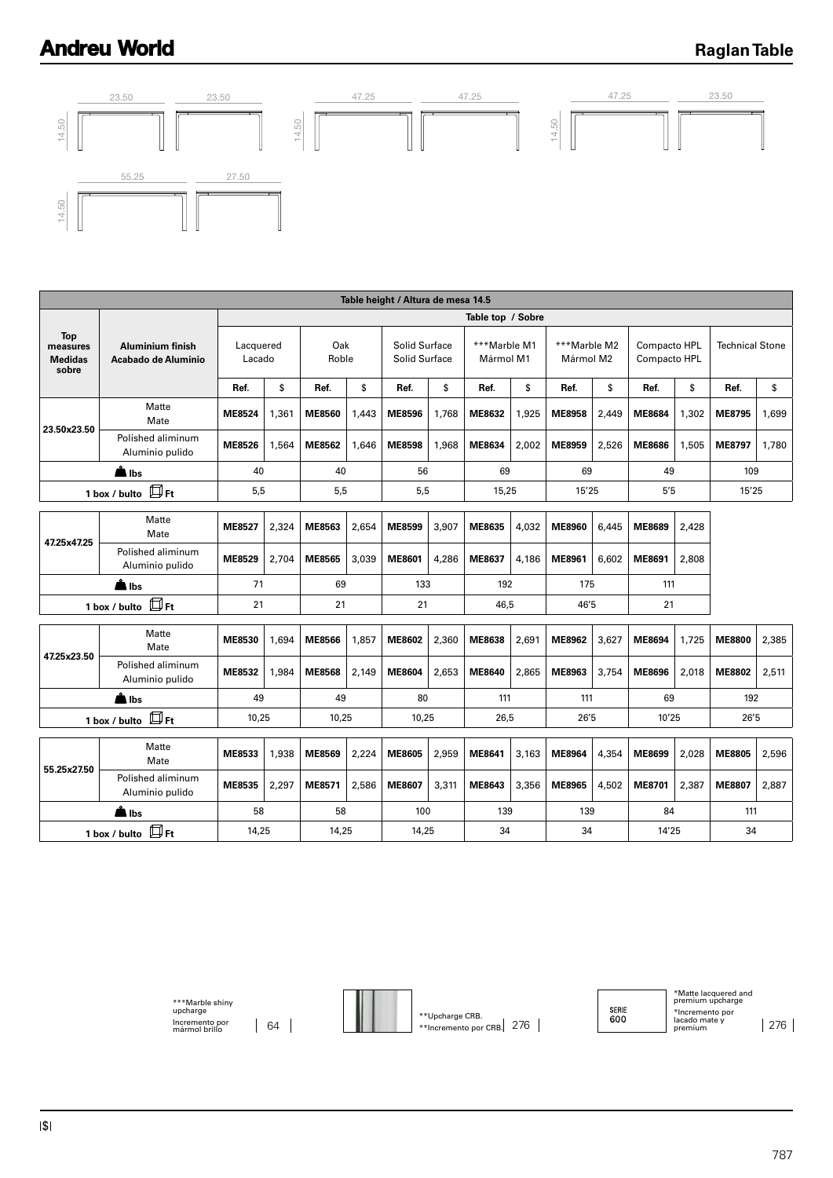# **Andreu World**

### **Raglan Table**



| Table height / Altura de mesa 14.5                |                                         |                     |                   |               |              |                                |       |                           |       |                           |       |                              |       |                        |       |  |
|---------------------------------------------------|-----------------------------------------|---------------------|-------------------|---------------|--------------|--------------------------------|-------|---------------------------|-------|---------------------------|-------|------------------------------|-------|------------------------|-------|--|
|                                                   |                                         |                     | Table top / Sobre |               |              |                                |       |                           |       |                           |       |                              |       |                        |       |  |
| <b>Top</b><br>measures<br><b>Medidas</b><br>sobre | Aluminium finish<br>Acabado de Aluminio | Lacquered<br>Lacado |                   | Oak<br>Roble  |              | Solid Surface<br>Solid Surface |       | ***Marble M1<br>Mármol M1 |       | ***Marble M2<br>Mármol M2 |       | Compacto HPL<br>Compacto HPL |       | <b>Technical Stone</b> |       |  |
|                                                   |                                         | Ref.                | \$                | Ref.          | \$           | Ref.                           | \$    | Ref.                      | \$    | Ref.                      | \$    | Ref.                         | \$    | Ref.                   | \$    |  |
| 23.50x23.50                                       | Matte<br>Mate                           | <b>ME8524</b>       | 1,361             | ME8560        | 1,443        | <b>ME8596</b>                  | 1,768 | ME8632                    | 1,925 | <b>ME8958</b>             | 2,449 | ME8684                       | 1,302 | ME8795                 | 1,699 |  |
|                                                   | Polished aliminum<br>Aluminio pulido    | ME8526              | 1,564             | ME8562        | 1,646        | <b>ME8598</b>                  | 1,968 | ME8634                    | 2,002 | ME8959                    | 2,526 | <b>ME8686</b>                | 1,505 | ME8797                 | 1,780 |  |
| llbs                                              |                                         | 40                  |                   |               | 40           |                                | 56    |                           | 69    |                           | 69    |                              | 49    |                        | 109   |  |
|                                                   | $\square$ Ft<br>1 box / bulto           |                     | 5,5<br>5,5        |               | 5,5<br>15,25 |                                | 15'25 |                           | 5'5   |                           | 15'25 |                              |       |                        |       |  |
|                                                   |                                         |                     |                   |               |              |                                |       |                           |       |                           |       |                              |       |                        |       |  |
| 47.25x47.25                                       | Matte<br>Mate                           | <b>ME8527</b>       | 2,324             | ME8563        | 2,654        | <b>ME8599</b>                  | 3,907 | ME8635                    | 4,032 | ME8960                    | 6.445 | ME8689                       | 2,428 |                        |       |  |
|                                                   | Polished aliminum<br>Aluminio pulido    | <b>ME8529</b>       | 2.704             | <b>ME8565</b> | 3,039        | <b>ME8601</b>                  | 4,286 | ME8637                    | 4.186 | ME8961                    | 6.602 | ME8691                       | 2,808 |                        |       |  |
|                                                   | <b>A</b> Ibs                            | 71<br>69            |                   |               | 133<br>192   |                                | 175   |                           | 111   |                           |       |                              |       |                        |       |  |
|                                                   | $\square$ Ft<br>1 box / bulto           | 21                  |                   | 21            |              | 21                             |       | 46.5                      |       | 46'5                      |       | 21                           |       |                        |       |  |
|                                                   | Matte                                   |                     |                   |               |              |                                |       |                           |       |                           |       |                              |       |                        |       |  |
|                                                   | Mate                                    | ME8530              | 1,694             | <b>ME8566</b> | 1,857        | ME8602                         | 2,360 | <b>ME8638</b>             | 2,691 | ME8962                    | 3,627 | <b>ME8694</b>                | 1,725 | <b>ME8800</b>          | 2,385 |  |
| 47.25x23.50                                       | Polished aliminum<br>Aluminio pulido    | ME8532              | 1,984             | <b>ME8568</b> | 2,149        | ME8604                         | 2,653 | <b>ME8640</b>             | 2,865 | ME8963                    | 3,754 | ME8696                       | 2,018 | <b>ME8802</b>          | 2,511 |  |
|                                                   | in Ibs                                  | 49                  |                   | 49            |              | 80                             |       | 111                       |       | 111                       |       | 69                           |       | 192                    |       |  |
|                                                   | $\square$ Ft<br>1 box / bulto           | 10,25               |                   | 10,25         |              | 10,25                          |       | 26,5                      |       | 26'5                      |       | 10'25                        |       | 26'5                   |       |  |
|                                                   | Matte<br>Mate                           | ME8533              | 1,938             | ME8569        | 2,224        | <b>ME8605</b>                  | 2,959 | ME8641                    | 3,163 | ME8964                    | 4,354 | ME8699                       | 2,028 | <b>ME8805</b>          | 2,596 |  |
| 55.25x27.50                                       | Polished aliminum<br>Aluminio pulido    | ME8535              | 2,297             | ME8571        | 2,586        | ME8607                         | 3,311 | ME8643                    | 3,356 | ME8965                    | 4,502 | ME8701                       | 2,387 | <b>ME8807</b>          | 2,887 |  |
|                                                   | l Ibs                                   | 58                  |                   | 58            |              | 100                            |       | 139                       |       | 139                       |       | 84                           |       | 111                    |       |  |
| 1 box / bulto $\Box$ Ft                           |                                         | 14,25               |                   | 14,25         |              | 14,25                          |       | 34                        |       | 34                        |       | 14'25                        |       | 34                     |       |  |

\*\*\*Marble shiny upcharge Incremento por mármol brillo 64



\*\*Upcharge CRB. \*\*Incremento por CRB.  $276$  SERIE<br>600

\*Matte lacquered and premium upcharge \*Incremento por lacado mate y premium 276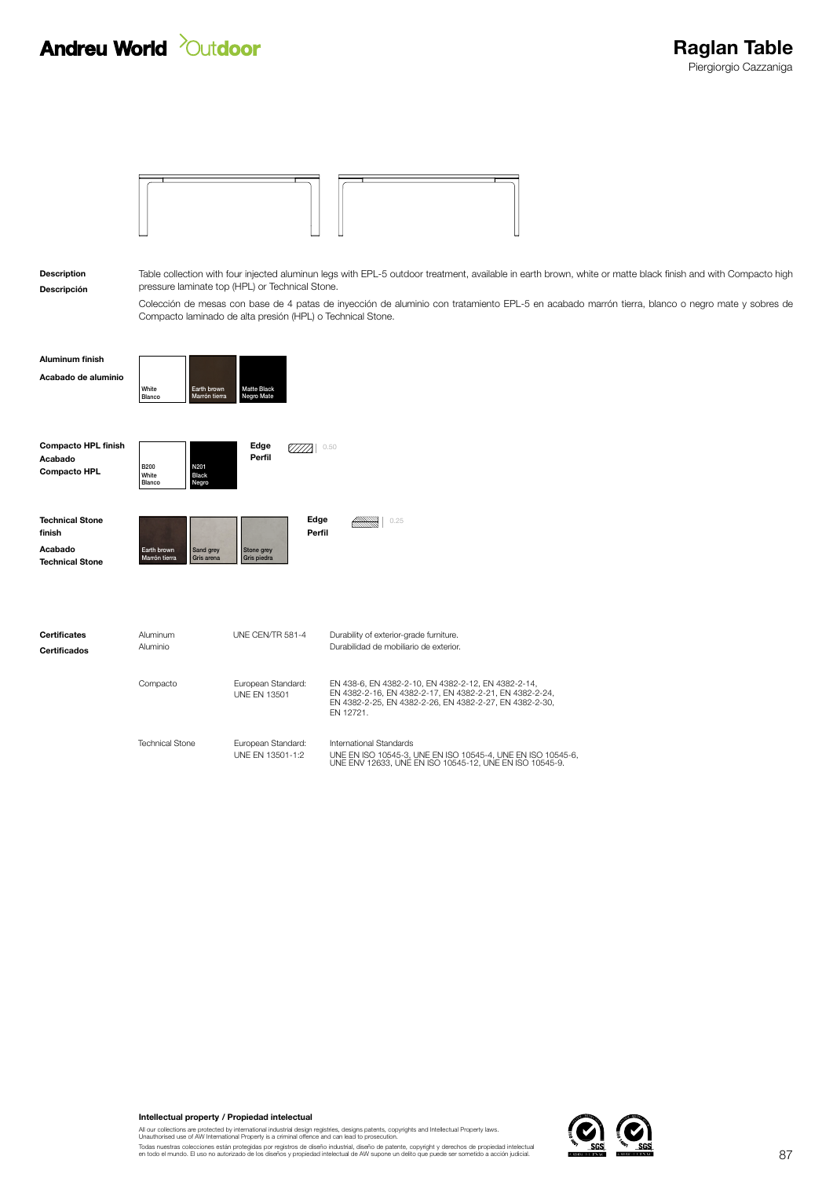

Descripción Description

Table collection with four injected aluminun legs with EPL-5 outdoor treatment, available in earth brown, white or matte black finish and with Compacto high pressure laminate top (HPL) or Technical Stone.

Colección de mesas con base de 4 patas de inyección de aluminio con tratamiento EPL-5 en acabado marrón tierra, blanco o negro mate y sobres de Compacto laminado de alta presión (HPL) o Technical Stone.

| <b>Aluminum finish</b>                                       | White                   | Earth brown                   | <b>Matte Black</b> |      |
|--------------------------------------------------------------|-------------------------|-------------------------------|--------------------|------|
| Acabado de aluminio                                          | Blanco                  | Marrón tierra                 | Negro Mate         |      |
| <b>Compacto HPL finish</b><br>Acabado<br><b>Compacto HPL</b> | B200<br>White<br>Blanco | N201<br><b>Black</b><br>Negro | Edge<br>Perfil     | 0.50 |

| <b>Technical Stone</b> |               |            |             | Edge   | 0.25 |
|------------------------|---------------|------------|-------------|--------|------|
| finish                 |               |            |             | Perfil |      |
| Acabado                | Earth brown   | Sand grey  | Stone grey  |        |      |
| <b>Technical Stone</b> | Marrón tierra | Gris arena | Gris piedra |        |      |
|                        |               |            |             |        |      |
|                        |               |            |             |        |      |

| Certificates<br>Certificados | Aluminum<br>Aluminio   | UNF CFN/TR 581-4                          | Durability of exterior-grade furniture.<br>Durabilidad de mobiliario de exterior.                                                                                                      |
|------------------------------|------------------------|-------------------------------------------|----------------------------------------------------------------------------------------------------------------------------------------------------------------------------------------|
|                              | Compacto               | European Standard:<br><b>UNF FN 13501</b> | EN 438-6, EN 4382-2-10, EN 4382-2-12, EN 4382-2-14,<br>EN 4382-2-16, EN 4382-2-17, EN 4382-2-21, EN 4382-2-24,<br>EN 4382-2-25, EN 4382-2-26, EN 4382-2-27, EN 4382-2-30,<br>FN 12721. |
|                              | <b>Technical Stone</b> | European Standard:<br>UNF FN 13501-1:2    | International Standards<br>UNE EN ISO 10545-3, UNE EN ISO 10545-4, UNE EN ISO 10545-6.<br>UNE ENV 12633 UNE EN ISO 10545-12 UNE EN ISO 10545-9                                         |

Intellectual property / Propiedad intelectual

All our collections are protected by international industrial design registries, designs patents, copyrights and Intellectual Property laws.<br>Unauthorised use of AW International Property is a criminal offence and can lead

Todas nuestras colecciones están protegidas por registros de diseño industrial, diseño de patente, copyright y derechos de propiedad intelectual<br>en todo el mundo. El uso no autorizado de los diseños y propiedad intelectual